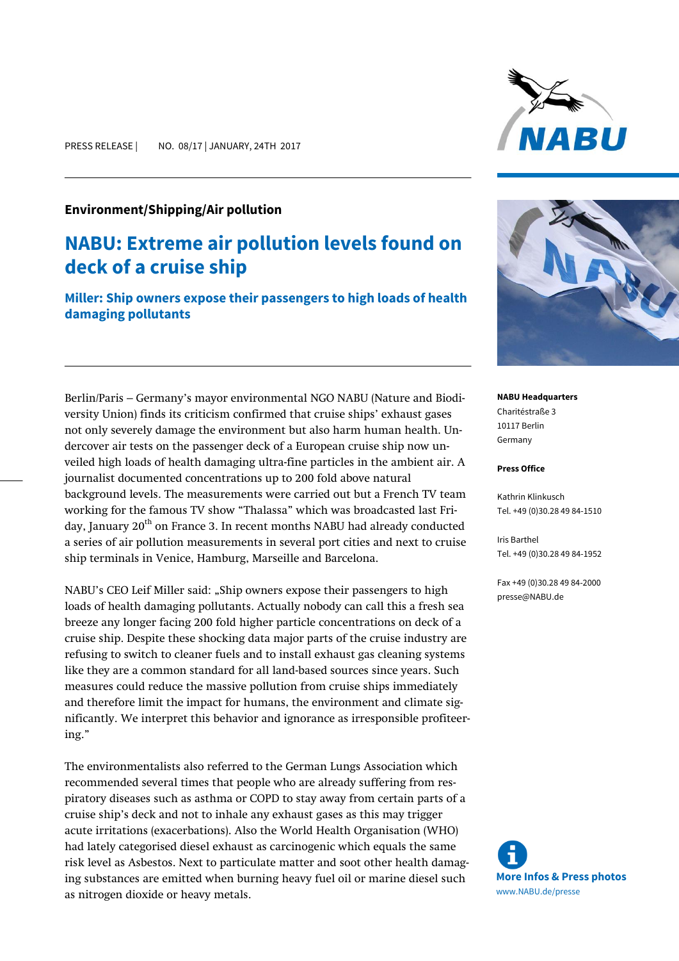## **Environment/Shipping/Air pollution**

## **NABU: Extreme air pollution levels found on deck of a cruise ship**

**Miller: Ship owners expose their passengers to high loads of health damaging pollutants**

Berlin/Paris – Germany's mayor environmental NGO NABU (Nature and Biodiversity Union) finds its criticism confirmed that cruise ships' exhaust gases not only severely damage the environment but also harm human health. Undercover air tests on the passenger deck of a European cruise ship now unveiled high loads of health damaging ultra-fine particles in the ambient air. A journalist documented concentrations up to 200 fold above natural background levels. The measurements were carried out but a French TV team working for the famous TV show "Thalassa" which was broadcasted last Friday, January 20<sup>th</sup> on France 3. In recent months NABU had already conducted a series of air pollution measurements in several port cities and next to cruise ship terminals in Venice, Hamburg, Marseille and Barcelona.

NABU's CEO Leif Miller said: "Ship owners expose their passengers to high loads of health damaging pollutants. Actually nobody can call this a fresh sea breeze any longer facing 200 fold higher particle concentrations on deck of a cruise ship. Despite these shocking data major parts of the cruise industry are refusing to switch to cleaner fuels and to install exhaust gas cleaning systems like they are a common standard for all land-based sources since years. Such measures could reduce the massive pollution from cruise ships immediately and therefore limit the impact for humans, the environment and climate significantly. We interpret this behavior and ignorance as irresponsible profiteering."

The environmentalists also referred to the German Lungs Association which recommended several times that people who are already suffering from respiratory diseases such as asthma or COPD to stay away from certain parts of a cruise ship's deck and not to inhale any exhaust gases as this may trigger acute irritations (exacerbations). Also the World Health Organisation (WHO) had lately categorised diesel exhaust as carcinogenic which equals the same risk level as Asbestos. Next to particulate matter and soot other health damaging substances are emitted when burning heavy fuel oil or marine diesel such as nitrogen dioxide or heavy metals.





**NABU Headquarters** Charitéstraße 3 10117 Berlin Germany

## **Press Office**

Kathrin Klinkusch Tel. +49 (0)30.28 49 84-1510

Iris Barthel Tel. +49 (0)30.28 49 84-1952

Fax +49 (0)30.28 49 84-2000 presse@NABU.de

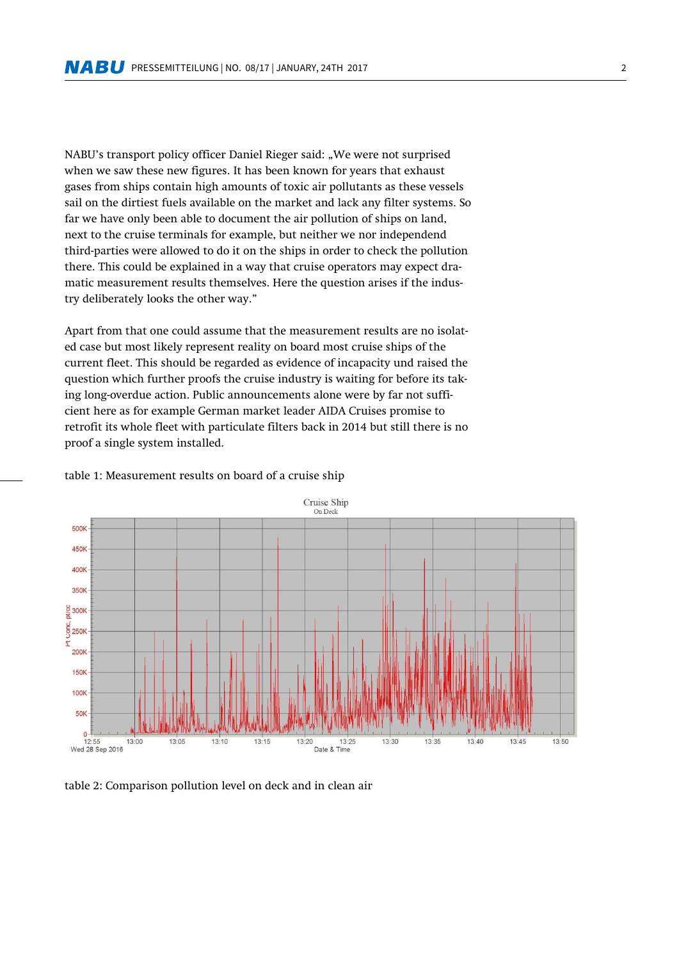NABU's transport policy officer Daniel Rieger said: "We were not surprised when we saw these new figures. It has been known for years that exhaust gases from ships contain high amounts of toxic air pollutants as these vessels sail on the dirtiest fuels available on the market and lack any filter systems. So far we have only been able to document the air pollution of ships on land, next to the cruise terminals for example, but neither we nor independend third-parties were allowed to do it on the ships in order to check the pollution there. This could be explained in a way that cruise operators may expect dramatic measurement results themselves. Here the question arises if the industry deliberately looks the other way."

Apart from that one could assume that the measurement results are no isolated case but most likely represent reality on board most cruise ships of the current fleet. This should be regarded as evidence of incapacity und raised the question which further proofs the cruise industry is waiting for before its taking long-overdue action. Public announcements alone were by far not sufficient here as for example German market leader AIDA Cruises promise to retrofit its whole fleet with particulate filters back in 2014 but still there is no proof a single system installed.



## table 1: Measurement results on board of a cruise ship

table 2: Comparison pollution level on deck and in clean air